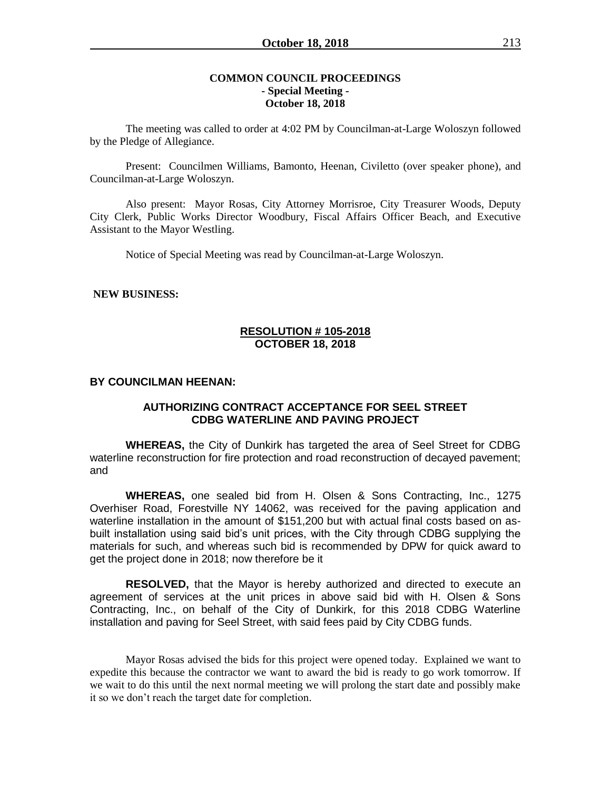## **COMMON COUNCIL PROCEEDINGS - Special Meeting - October 18, 2018**

The meeting was called to order at 4:02 PM by Councilman-at-Large Woloszyn followed by the Pledge of Allegiance.

Present: Councilmen Williams, Bamonto, Heenan, Civiletto (over speaker phone), and Councilman-at-Large Woloszyn.

Also present: Mayor Rosas, City Attorney Morrisroe, City Treasurer Woods, Deputy City Clerk, Public Works Director Woodbury, Fiscal Affairs Officer Beach, and Executive Assistant to the Mayor Westling.

Notice of Special Meeting was read by Councilman-at-Large Woloszyn.

### **NEW BUSINESS:**

### **RESOLUTION # 105-2018 OCTOBER 18, 2018**

#### **BY COUNCILMAN HEENAN:**

# **AUTHORIZING CONTRACT ACCEPTANCE FOR SEEL STREET CDBG WATERLINE AND PAVING PROJECT**

**WHEREAS,** the City of Dunkirk has targeted the area of Seel Street for CDBG waterline reconstruction for fire protection and road reconstruction of decayed pavement; and

**WHEREAS,** one sealed bid from H. Olsen & Sons Contracting, Inc., 1275 Overhiser Road, Forestville NY 14062, was received for the paving application and waterline installation in the amount of \$151,200 but with actual final costs based on asbuilt installation using said bid's unit prices, with the City through CDBG supplying the materials for such, and whereas such bid is recommended by DPW for quick award to get the project done in 2018; now therefore be it

**RESOLVED,** that the Mayor is hereby authorized and directed to execute an agreement of services at the unit prices in above said bid with H. Olsen & Sons Contracting, Inc., on behalf of the City of Dunkirk, for this 2018 CDBG Waterline installation and paving for Seel Street, with said fees paid by City CDBG funds.

Mayor Rosas advised the bids for this project were opened today. Explained we want to expedite this because the contractor we want to award the bid is ready to go work tomorrow. If we wait to do this until the next normal meeting we will prolong the start date and possibly make it so we don't reach the target date for completion.